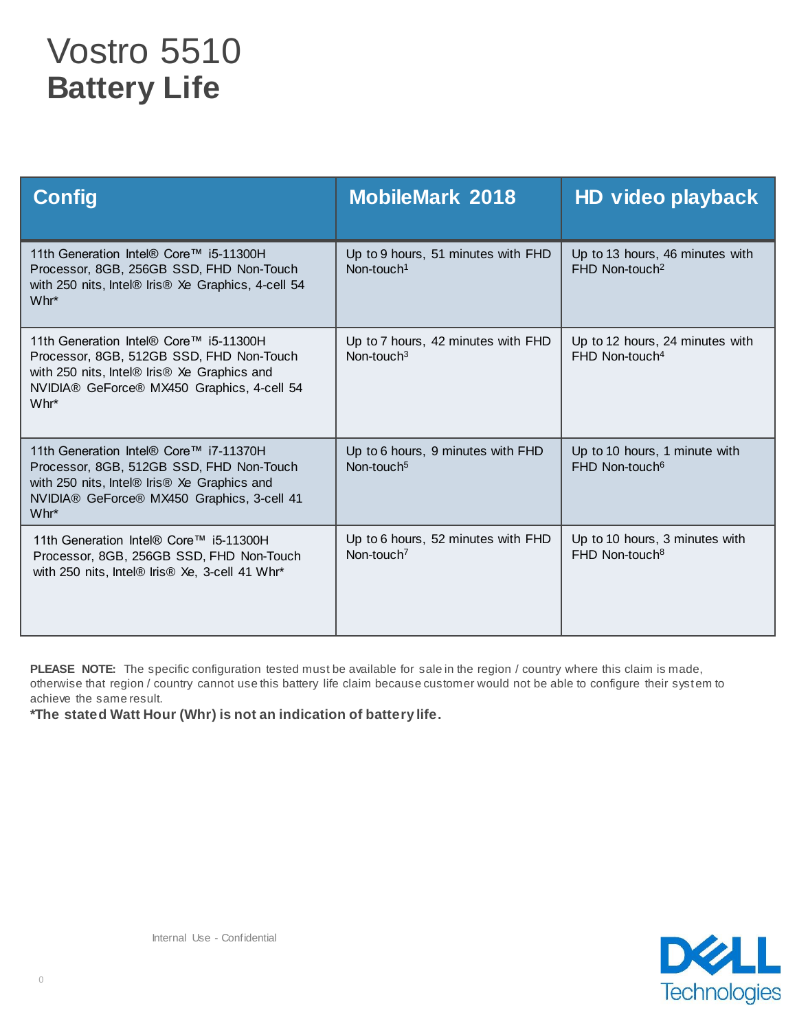## Vostro 5510 **Battery Life**

| <b>Config</b>                                                                                                                                                                           | <b>MobileMark 2018</b>                                       | HD video playback                                               |
|-----------------------------------------------------------------------------------------------------------------------------------------------------------------------------------------|--------------------------------------------------------------|-----------------------------------------------------------------|
| 11th Generation Intel® Core™ i5-11300H<br>Processor, 8GB, 256GB SSD, FHD Non-Touch<br>with 250 nits, Intel® Iris® Xe Graphics, 4-cell 54<br>Whr*                                        | Up to 9 hours, 51 minutes with FHD<br>Non-touch <sup>1</sup> | Up to 13 hours, 46 minutes with<br>$FHD$ Non-touch <sup>2</sup> |
| 11th Generation Intel® Core™ i5-11300H<br>Processor, 8GB, 512GB SSD, FHD Non-Touch<br>with 250 nits, Intel® Iris® Xe Graphics and<br>NVIDIA® GeForce® MX450 Graphics, 4-cell 54<br>Whr* | Up to 7 hours, 42 minutes with FHD<br>Non-touch $3$          | Up to 12 hours, 24 minutes with<br>$FHD$ Non-touch <sup>4</sup> |
| 11th Generation Intel® Core™ i7-11370H<br>Processor, 8GB, 512GB SSD, FHD Non-Touch<br>with 250 nits, Intel® Iris® Xe Graphics and<br>NVIDIA® GeForce® MX450 Graphics, 3-cell 41<br>Whr* | Up to 6 hours, 9 minutes with FHD<br>Non-touch <sup>5</sup>  | Up to 10 hours, 1 minute with<br>FHD Non-touch <sup>6</sup>     |
| 11th Generation Intel® Core™ i5-11300H<br>Processor, 8GB, 256GB SSD, FHD Non-Touch<br>with 250 nits, Intel® Iris® Xe, 3-cell 41 Whr*                                                    | Up to 6 hours, 52 minutes with FHD<br>Non-touch <sup>7</sup> | Up to 10 hours, 3 minutes with<br>FHD Non-touch <sup>8</sup>    |

PLEASE NOTE: The specific configuration tested must be available for sale in the region / country where this claim is made, otherwise that region / country cannot use this battery life claim because customer would not be able to configure their system to achieve the same result.

**\*The stated Watt Hour (Whr) is not an indication of battery life.**

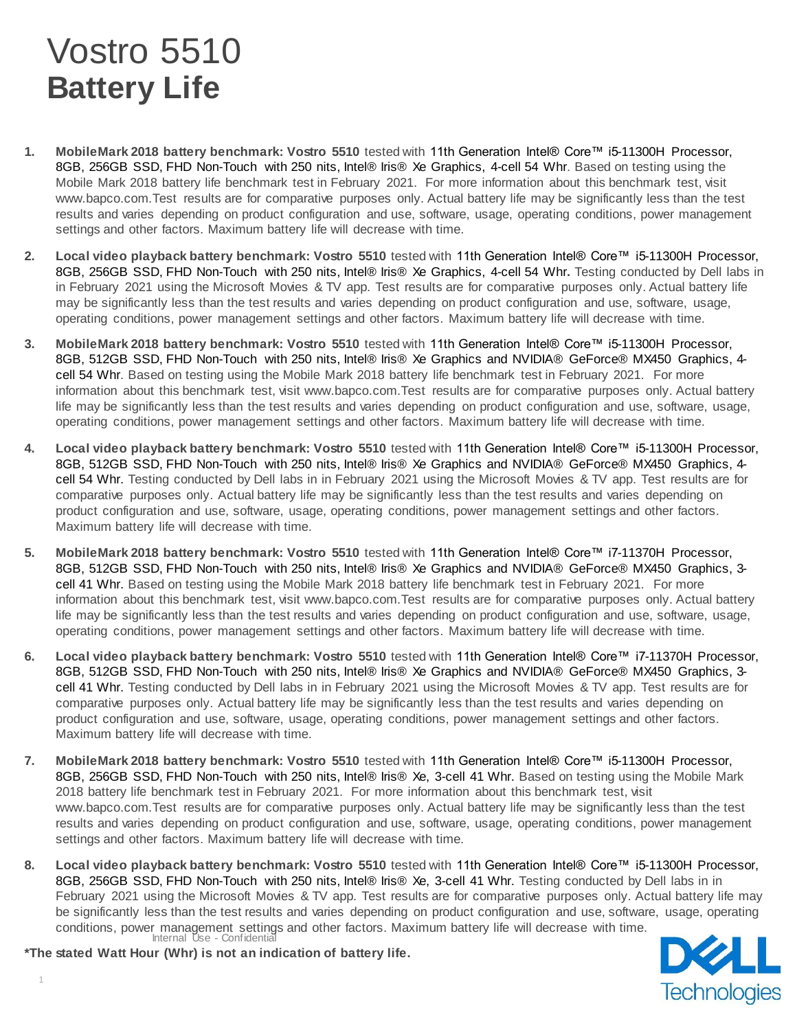## Vostro 5510 **Battery Life**

- **1. MobileMark 2018 battery benchmark: Vostro 5510** tested with 11th Generation Intel® Core™ i5-11300H Processor, 8GB, 256GB SSD, FHD Non-Touch with 250 nits, Intel® Iris® Xe Graphics, 4-cell 54 Whr. Based on testing using the Mobile Mark 2018 battery life benchmark test in February 2021. For more information about this benchmark test, visit www.bapco.com.Test results are for comparative purposes only. Actual battery life may be significantly less than the test results and varies depending on product configuration and use, software, usage, operating conditions, power management settings and other factors. Maximum battery life will decrease with time.
- **2. Local video playback battery benchmark: Vostro 5510** tested with 11th Generation Intel® Core™ i5-11300H Processor, 8GB, 256GB SSD, FHD Non-Touch with 250 nits, Intel® Iris® Xe Graphics, 4-cell 54 Whr**.** Testing conducted by Dell labs in in February 2021 using the Microsoft Movies & TV app. Test results are for comparative purposes only. Actual battery life may be significantly less than the test results and varies depending on product configuration and use, software, usage, operating conditions, power management settings and other factors. Maximum battery life will decrease with time.
- **3. MobileMark 2018 battery benchmark: Vostro 5510** tested with 11th Generation Intel® Core™ i5-11300H Processor, 8GB, 512GB SSD, FHD Non-Touch with 250 nits, Intel® Iris® Xe Graphics and NVIDIA® GeForce® MX450 Graphics, 4 cell 54 Whr. Based on testing using the Mobile Mark 2018 battery life benchmark test in February 2021. For more information about this benchmark test, visit www.bapco.com.Test results are for comparative purposes only. Actual battery life may be significantly less than the test results and varies depending on product configuration and use, software, usage, operating conditions, power management settings and other factors. Maximum battery life will decrease with time.
- **4. Local video playback battery benchmark: Vostro 5510** tested with 11th Generation Intel® Core™ i5-11300H Processor, 8GB, 512GB SSD, FHD Non-Touch with 250 nits, Intel® Iris® Xe Graphics and NVIDIA® GeForce® MX450 Graphics, 4 cell 54 Whr. Testing conducted by Dell labs in in February 2021 using the Microsoft Movies & TV app. Test results are for comparative purposes only. Actual battery life may be significantly less than the test results and varies depending on product configuration and use, software, usage, operating conditions, power management settings and other factors. Maximum battery life will decrease with time.
- **5. MobileMark 2018 battery benchmark: Vostro 5510** tested with 11th Generation Intel® Core™ i7-11370H Processor, 8GB, 512GB SSD, FHD Non-Touch with 250 nits, Intel® Iris® Xe Graphics and NVIDIA® GeForce® MX450 Graphics, 3 cell 41 Whr. Based on testing using the Mobile Mark 2018 battery life benchmark test in February 2021. For more information about this benchmark test, visit www.bapco.com.Test results are for comparative purposes only. Actual battery life may be significantly less than the test results and varies depending on product configuration and use, software, usage, operating conditions, power management settings and other factors. Maximum battery life will decrease with time.
- **6. Local video playback battery benchmark: Vostro 5510** tested with 11th Generation Intel® Core™ i7-11370H Processor, 8GB, 512GB SSD, FHD Non-Touch with 250 nits, Intel® Iris® Xe Graphics and NVIDIA® GeForce® MX450 Graphics, 3 cell 41 Whr. Testing conducted by Dell labs in in February 2021 using the Microsoft Movies & TV app. Test results are for comparative purposes only. Actual battery life may be significantly less than the test results and varies depending on product configuration and use, software, usage, operating conditions, power management settings and other factors. Maximum battery life will decrease with time.
- **7. MobileMark 2018 battery benchmark: Vostro 5510** tested with 11th Generation Intel® Core™ i5-11300H Processor, 8GB, 256GB SSD, FHD Non-Touch with 250 nits, Intel® Iris® Xe, 3-cell 41 Whr. Based on testing using the Mobile Mark 2018 battery life benchmark test in February 2021. For more information about this benchmark test, visit www.bapco.com.Test results are for comparative purposes only. Actual battery life may be significantly less than the test results and varies depending on product configuration and use, software, usage, operating conditions, power management settings and other factors. Maximum battery life will decrease with time.
- Internal Use Confidential **8. Local video playback battery benchmark: Vostro 5510** tested with 11th Generation Intel® Core™ i5-11300H Processor, 8GB, 256GB SSD, FHD Non-Touch with 250 nits, Intel® Iris® Xe, 3-cell 41 Whr. Testing conducted by Dell labs in in February 2021 using the Microsoft Movies & TV app. Test results are for comparative purposes only. Actual battery life may be significantly less than the test results and varies depending on product configuration and use, software, usage, operating conditions, power management settings and other factors. Maximum battery life will decrease with time.

**Technologies** 

**\*The stated Watt Hour (Whr) is not an indication of battery life.**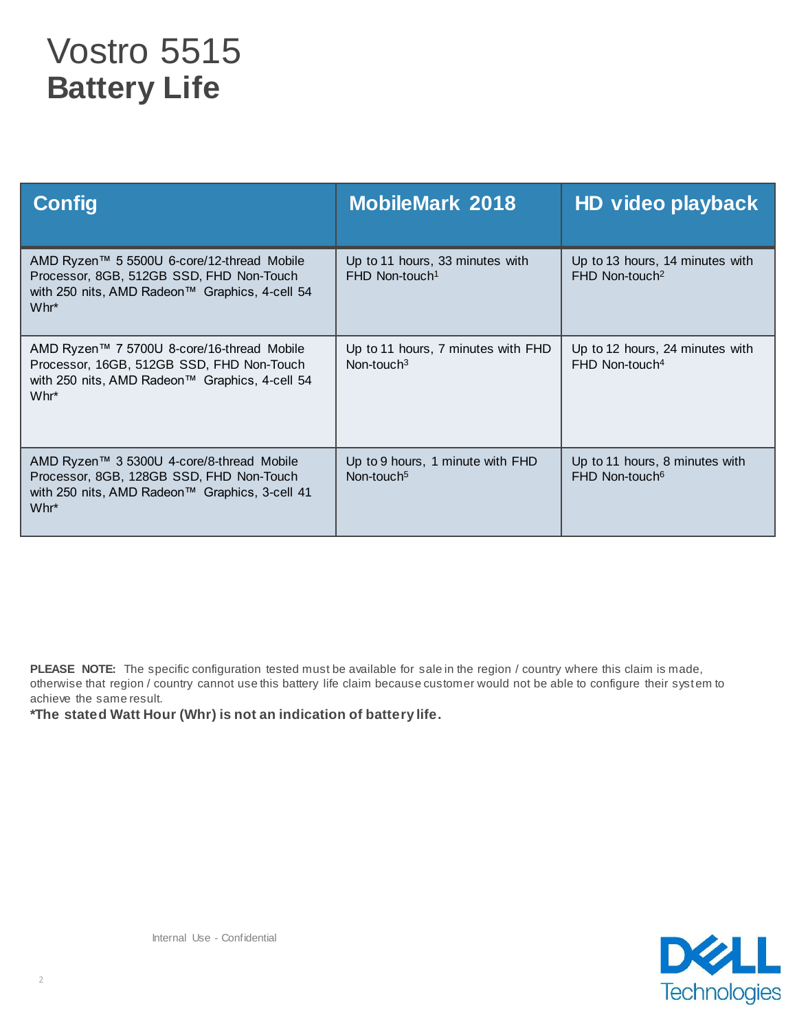## Vostro 5515 **Battery Life**

| <b>Config</b>                                                                                                                                               | <b>MobileMark 2018</b>                                          | HD video playback                                               |
|-------------------------------------------------------------------------------------------------------------------------------------------------------------|-----------------------------------------------------------------|-----------------------------------------------------------------|
| AMD Ryzen™ 5 5500U 6-core/12-thread Mobile<br>Processor, 8GB, 512GB SSD, FHD Non-Touch<br>with 250 nits, AMD Radeon™ Graphics, 4-cell 54<br>$Whr^*$         | Up to 11 hours, 33 minutes with<br>$FHD$ Non-touch <sup>1</sup> | Up to 13 hours, 14 minutes with<br>$FHD$ Non-touch <sup>2</sup> |
| AMD Ryzen™ 7 5700U 8-core/16-thread Mobile<br>Processor, 16GB, 512GB SSD, FHD Non-Touch<br>with 250 nits, AMD Radeon™ Graphics, 4-cell 54<br>Whr*           | Up to 11 hours, 7 minutes with FHD<br>Non-touch $3$             | Up to 12 hours, 24 minutes with<br>$FHD$ Non-touch <sup>4</sup> |
| AMD Ryzen™ 3 5300U 4-core/8-thread Mobile<br>Processor, 8GB, 128GB SSD, FHD Non-Touch<br>with 250 nits, AMD Radeon™ Graphics, 3-cell 41<br>Whr <sup>*</sup> | Up to 9 hours, 1 minute with FHD<br>Non-touch <sup>5</sup>      | Up to 11 hours, 8 minutes with<br>FHD Non-touch <sup>6</sup>    |

PLEASE NOTE: The specific configuration tested must be available for sale in the region / country where this claim is made, otherwise that region / country cannot use this battery life claim because customer would not be able to configure their system to achieve the same result.

**\*The stated Watt Hour (Whr) is not an indication of battery life.**